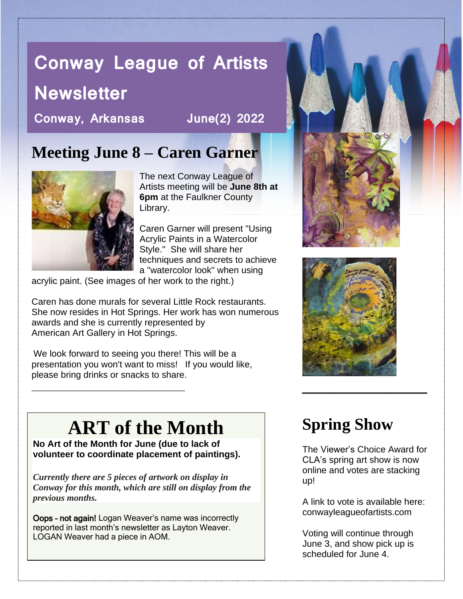# **Conway League of Artists**

# **Newsletter**

**Conway, Arkansas June(2) 2022**

### **Meeting June 8 – Caren Garner**



The next Conway League of Artists meeting will be **June 8th at 6pm** at the Faulkner County Library.

Caren Garner will present "Using Acrylic Paints in a Watercolor Style." She will share her techniques and secrets to achieve a "watercolor look" when using

acrylic paint. (See images of her work to the right.)

Caren has done murals for several Little Rock restaurants. She now resides in Hot Springs. Her work has won numerous awards and she is currently represented by American Art Gallery in Hot Springs.

We look forward to seeing you there! This will be a presentation you won't want to miss! If you would like, please bring drinks or snacks to share. *\_\_\_\_\_\_\_\_\_\_\_\_\_\_\_\_\_\_\_\_\_\_\_\_\_\_\_\_\_* **\_\_\_\_\_\_\_\_\_\_\_\_\_\_\_**

# **ART of the Month**

**No Art of the Month for June (due to lack of volunteer to coordinate placement of paintings).**

*Currently there are 5 pieces of artwork on display in Conway for this month, which are still on display from the previous months.* 

Oops – not again! Logan Weaver's name was incorrectly reported in last month's newsletter as Layton Weaver. LOGAN Weaver had a piece in AOM.





## **Spring Show**

The Viewer's Choice Award for CLA's spring art show is now online and votes are stacking up!

A link to vote is available here: conwayleagueofartists.com

Voting will continue through June 3, and show pick up is scheduled for June 4.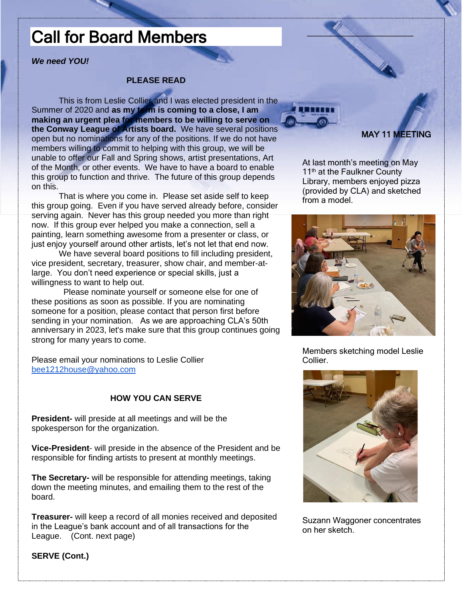### Call for Board Members

#### *We need YOU!*

#### **PLEASE READ**

This is from Leslie Collier and I was elected president in the Summer of 2020 and **as my term is coming to a close, I am making an urgent plea for members to be willing to serve on the Conway League of Artists board.** We have several positions open but no nominations for any of the positions. If we do not have members willing to commit to helping with this group, we will be unable to offer our Fall and Spring shows, artist presentations, Art of the Month, or other events. We have to have a board to enable this group to function and thrive. The future of this group depends on this.

That is where you come in. Please set aside self to keep this group going. Even if you have served already before, consider serving again. Never has this group needed you more than right now. If this group ever helped you make a connection, sell a painting, learn something awesome from a presenter or class, or just enjoy yourself around other artists, let's not let that end now.

We have several board positions to fill including president, vice president, secretary, treasurer, show chair, and member-atlarge. You don't need experience or special skills, just a willingness to want to help out.

 Please nominate yourself or someone else for one of these positions as soon as possible. If you are nominating someone for a position, please contact that person first before sending in your nomination. As we are approaching CLA's 50th anniversary in 2023, let's make sure that this group continues going strong for many years to come.

Please email your nominations to Leslie Collier [bee1212house@yahoo.com](mailto:bee1212house@yahoo.com)

#### **HOW YOU CAN SERVE**

**President-** will preside at all meetings and will be the spokesperson for the organization.

**Vice-President**- will preside in the absence of the President and be responsible for finding artists to present at monthly meetings.

**The Secretary-** will be responsible for attending meetings, taking down the meeting minutes, and emailing them to the rest of the board.

**Treasurer-** will keep a record of all monies received and deposited in the League's bank account and of all transactions for the League. (Cont. next page)



#### MAY 11 MEETING

At last month's meeting on May 11<sup>th</sup> at the Faulkner County Library, members enjoyed pizza (provided by CLA) and sketched from a model.

 $\sim$   $\sim$   $\sim$ 



Members sketching model Leslie Collier.



Suzann Waggoner concentrates on her sketch.

**SERVE (Cont.)**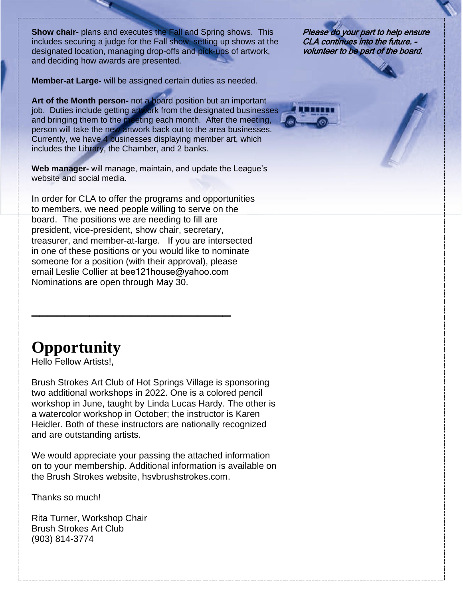**Show chair-** plans and executes the Fall and Spring shows. This includes securing a judge for the Fall show, setting up shows at the designated location, managing drop-offs and pick-ups of artwork, and deciding how awards are presented.

**Member-at Large-** will be assigned certain duties as needed.

**Art of the Month person-** not a board position but an important job. Duties include getting artwork from the designated businesses and bringing them to the meeting each month. After the meeting, person will take the new artwork back out to the area businesses. Currently, we have 4 businesses displaying member art, which includes the Library, the Chamber, and 2 banks.

**Web manager-** will manage, maintain, and update the League's website and social media.

In order for CLA to offer the programs and opportunities to members, we need people willing to serve on the board. The positions we are needing to fill are president, vice-president, show chair, secretary, treasurer, and member-at-large. If you are intersected in one of these positions or you would like to nominate someone for a position (with their approval), please email Leslie Collier at [bee121house@yahoo.com](mailto:bee121house@yahoo.com) Nominations are open through May 30.

**\_\_\_\_\_\_\_\_\_\_\_\_\_\_\_\_\_\_\_\_\_\_\_\_**

Please do your part to help ensure CLA continues into the future. – volunteer to be part of the board.

### **Opportunity**

Hello Fellow Artists!,

Brush Strokes Art Club of Hot Springs Village is sponsoring two additional workshops in 2022. One is a colored pencil workshop in June, taught by Linda Lucas Hardy. The other is a watercolor workshop in October; the instructor is Karen Heidler. Both of these instructors are nationally recognized and are outstanding artists.

We would appreciate your passing the attached information on to your membership. Additional information is available on the Brush Strokes website, [hsvbrushstrokes.com.](http://hsvbrushstrokes.com/)

Thanks so much!

Rita Turner, Workshop Chair Brush Strokes Art Club (903) 814-3774